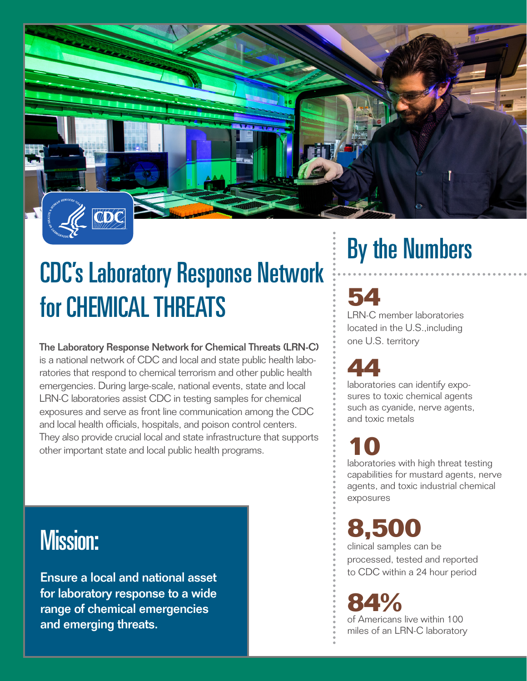

## CDC's Laboratory Response Network for CHEMICAL THREATS

The Laboratory Response Network for Chemical Threats (LRN-C) is a national network of CDC and local and state public health laboratories that respond to chemical terrorism and other public health emergencies. During large-scale, national events, state and local LRN-C laboratories assist CDC in testing samples for chemical exposures and serve as front line communication among the CDC and local health officials, hospitals, and poison control centers. They also provide crucial local and state infrastructure that supports other important state and local public health programs.

### Mission:

Ensure a local and national asset for laboratory response to a wide range of chemical emergencies and emerging threats.

# By the Numbers

### **54**

LRN-C member laboratories located in the U.S.,including one U.S. territory

**44** laboratories can identify exposures to toxic chemical agents such as cyanide, nerve agents, and toxic metals

**10** laboratories with high threat testing capabilities for mustard agents, nerve agents, and toxic industrial chemical exposures

**8,500**

clinical samples can be processed, tested and reported to CDC within a 24 hour period

### **84%**

of Americans live within 100 miles of an LRN-C laboratory